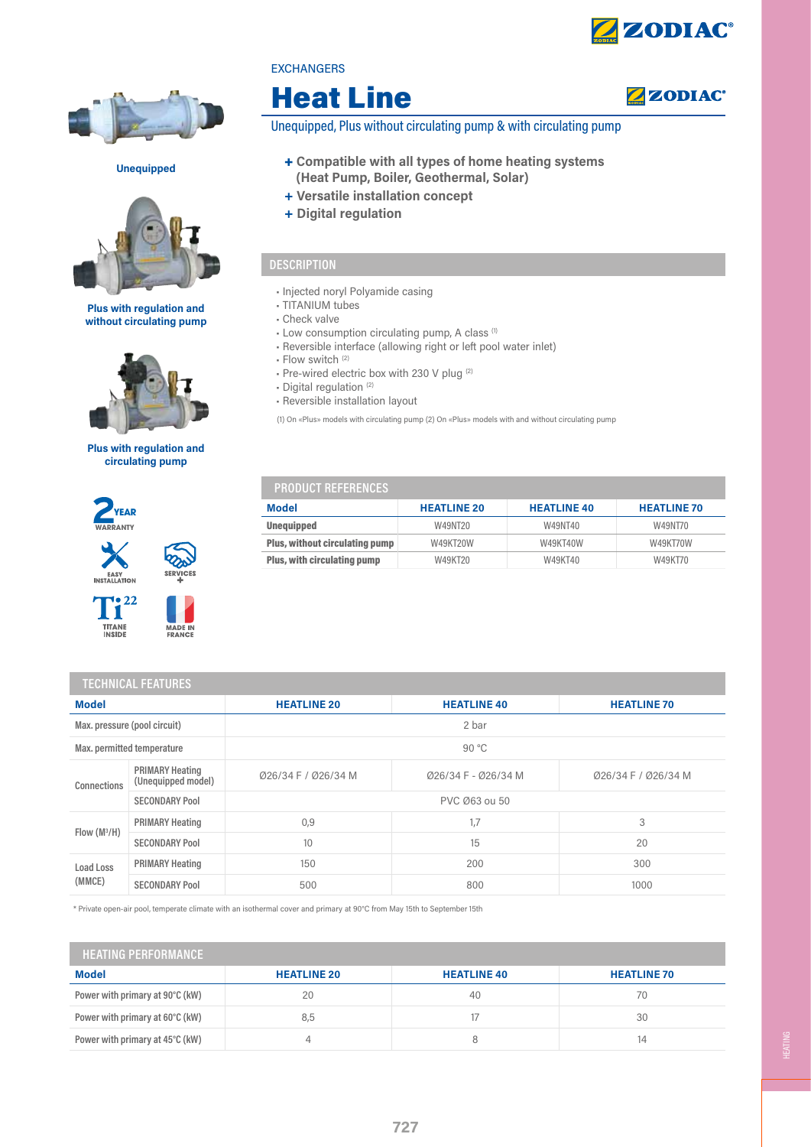

**ZZODIAC®** 



Unequipped



Plus with regulation and without circulating pump



#### Plus with regulation and circulating pump







MADE II



| <b>EXCHANGERS</b> |  |  |  |
|-------------------|--|--|--|
|                   |  |  |  |

# Heat Line

Unequipped, Plus without circulating pump & with circulating pump

- + Compatible with all types of home heating systems (Heat Pump, Boiler, Geothermal, Solar)
- + Versatile installation concept
- + Digital regulation

### **DESCRIPTION**

- Injected noryl Polyamide casing
- TITANIUM tubes
- Check valve
- Low consumption circulating pump, A class (1)
- Reversible interface (allowing right or left pool water inlet)
- Flow switch (2)
- Pre-wired electric box with 230 V plug (2)
- Digital regulation (2)
- Reversible installation layout

(1) On «Plus» models with circulating pump (2) On «Plus» models with and without circulating pump

# PRODUCT REFERENCES

| Model                                 | <b>HEATLINE 20</b> | <b>HEATLINE 40</b> | <b>HEATLINE 70</b> |
|---------------------------------------|--------------------|--------------------|--------------------|
| <b>Unequipped</b>                     | W49NT20            | W49NT40            | W49NT70            |
| <b>Plus, without circulating pump</b> | W49KT20W           | W49KT40W           | W49KT70W           |
| <b>Plus, with circulating pump</b>    | W49KT20            | W49KT40            | W49KT70            |

| <b>TECHNICAL FEATURES</b>    |                                              |                     |                     |                     |  |
|------------------------------|----------------------------------------------|---------------------|---------------------|---------------------|--|
| <b>Model</b>                 |                                              | <b>HEATLINE 20</b>  | <b>HEATLINE 40</b>  | <b>HEATLINE 70</b>  |  |
| Max. pressure (pool circuit) |                                              | 2 bar               |                     |                     |  |
| Max. permitted temperature   |                                              | 90 °C               |                     |                     |  |
| Connections                  | <b>PRIMARY Heating</b><br>(Unequipped model) | Ø26/34 F / Ø26/34 M | Ø26/34 F - Ø26/34 M | Ø26/34 F / Ø26/34 M |  |
|                              | <b>SECONDARY Pool</b>                        | PVC Ø63 ou 50       |                     |                     |  |
| Flow $(M^3/H)$               | <b>PRIMARY Heating</b>                       | 0,9                 | 1,7                 | 3                   |  |
|                              | <b>SECONDARY Pool</b>                        | 10                  | 15                  | 20                  |  |
| Load Loss<br>(MMCE)          | <b>PRIMARY Heating</b>                       | 150                 | 200                 | 300                 |  |
|                              | <b>SECONDARY Pool</b>                        | 500                 | 800                 | 1000                |  |

\* Private open-air pool, temperate climate with an isothermal cover and primary at 90°C from May 15th to September 15th

| <b>HEATING PERFORMANCE</b>      |                    |                    |                    |  |
|---------------------------------|--------------------|--------------------|--------------------|--|
| <b>Model</b>                    | <b>HEATLINE 20</b> | <b>HEATLINE 40</b> | <b>HEATLINE 70</b> |  |
| Power with primary at 90°C (kW) | 20                 | 40                 | 70                 |  |
| Power with primary at 60°C (kW) | 8,5                |                    | 30                 |  |
| Power with primary at 45°C (kW) |                    |                    | 14                 |  |